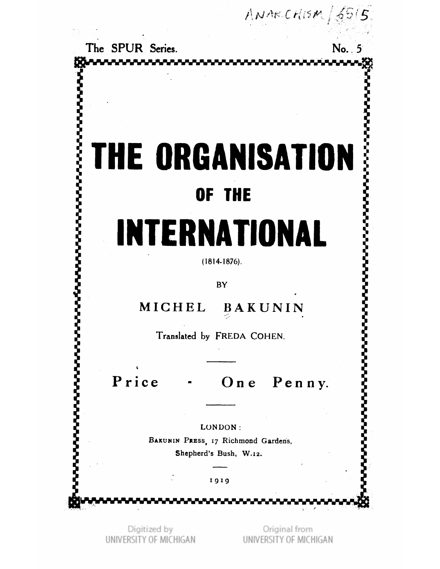

Digitized by UNIVERSITY OF MICHIGAN

Original from UNIVERSITY OF MICHIGAN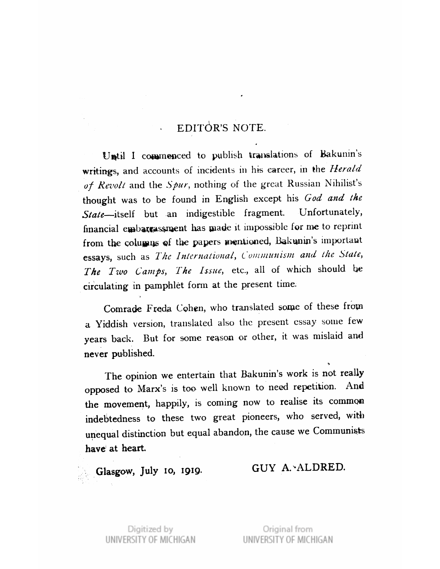## EDITOR'S NOTE.

Until I commenced to publish translations of Bakunin's writings, and accounts of incidents in his career, in the Herald of Revolt and the Spur, nothing of the great Russian Nihilist's thought was to be found in English except his God and the State-itself but an indigestible fragment. Unfortunately, financial embarrassment has made it impossible for me to reprint from the columns of the papers mentioned, Bakunin's important essays, such as The International, Communism and the State, The Two Camps, The Issue, etc., all of which should be circulating in pamphlet form at the present time.

Comrade Freda Cohen, who translated some of these from a Yiddish version, translated also the present essay some few years back. But for some reason or other, it was mislaid and never published.

The opinion we entertain that Bakunin's work is not really opposed to Marx's is too well known to need repetition. And the movement, happily, is coming now to realise its common indebtedness to these two great pioneers, who served, with unequal distinction but equal abandon, the cause we Communists have at heart.

Glasgow, July 10, 1919.

#### GUY A. ALDRED.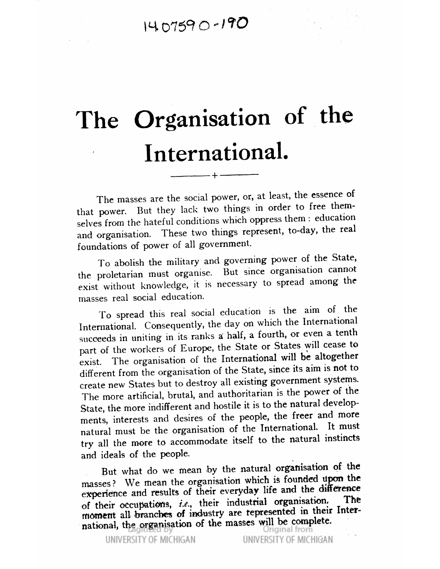## 1407590-190

# The Organisation of the International.

The masses are the social power, or, at least, the essence of that power. But they lack two things in order to free themselves from the hateful conditions which oppress them : education and organisation. These two things represent, to-day, the real foundations of power of all government.

To abolish the military and governing power of the State, the proletarian must organise. But since organisation cannot exist without knowledge, it is necessary to spread among the masses real social education.

To spread this real social education is the aim of the International. Consequently, the day on which the International succeeds in uniting in its ranks a half, a fourth, or even a tenth part of the workers of Europe, the State or States will cease to exist. The organisation of the International will be altogether different from the organisation of the State, since its aim is not to create new States but to destroy all existing government systems. The more artificial, brutal, and authoritarian is the power of the State, the more indifferent and hostile it is to the natural developments, interests and desires of the people, the freer and more natural must be the organisation of the International. It must try all the more to accommodate itself to the natural instincts and ideals of the people.

But what do we mean by the natural organisation of the masses? We mean the organisation which is founded upon the experience and results of their everyday life and the difference of their occupations, i.e., their industrial organisation. **The** moment all branches of industry are represented in their International, the organisation of the masses will be complete. Original from

UNIVERSITY OF MICHIGAN

UNIVERSITY OF MICHIGAN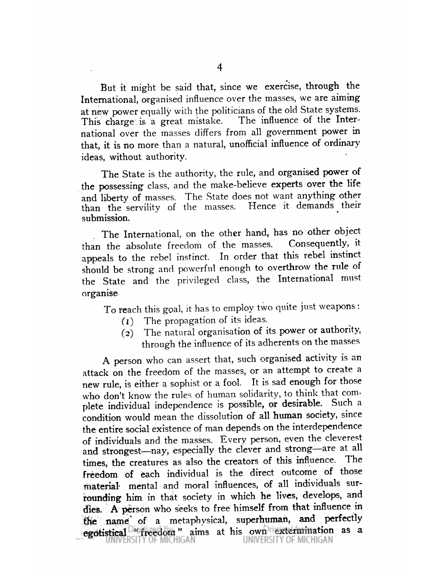But it might be said that, since we exercise, through the International, organised influence over the masses, we are aiming at new power equally with the politicians of the old State systems. The influence of the Inter-This charge is a great mistake. national over the masses differs from all government power in that, it is no more than a natural, unofficial influence of ordinary ideas, without authority.

The State is the authority, the rule, and organised power of the possessing class, and the make-believe experts over the life and liberty of masses. The State does not want anything other than the servility of the masses. Hence it demands their submission.

The International, on the other hand, has no other object Consequently, it than the absolute freedom of the masses. appeals to the rebel instinct. In order that this rebel instinct should be strong and powerful enough to overthrow the rule of the State and the privileged class, the International must organise

To reach this goal, it has to employ two quite just weapons:

- The propagation of its ideas.  $(1)$
- The natural organisation of its power or authority,  $(2)$ through the influence of its adherents on the masses.

A person who can assert that, such organised activity is an attack on the freedom of the masses, or an attempt to create a new rule, is either a sophist or a fool. It is sad enough for those who don't know the rules of human solidarity, to think that complete individual independence is possible, or desirable. Such a condition would mean the dissolution of all human society, since the entire social existence of man depends on the interdependence of individuals and the masses. Every person, even the cleverest and strongest-nay, especially the clever and strong-are at all times, the creatures as also the creators of this influence.  $The$ freedom of each individual is the direct outcome of those material mental and moral influences, of all individuals surrounding him in that society in which he lives, develops, and dies. A person who seeks to free himself from that influence in the name of a metaphysical, superhuman, and perfectly egotistical Digrieed on " aims at his own rigiter mination as a "<br>UNIVERSITY OF MICHIGAN" UNIVERSITY OF MICHIGAN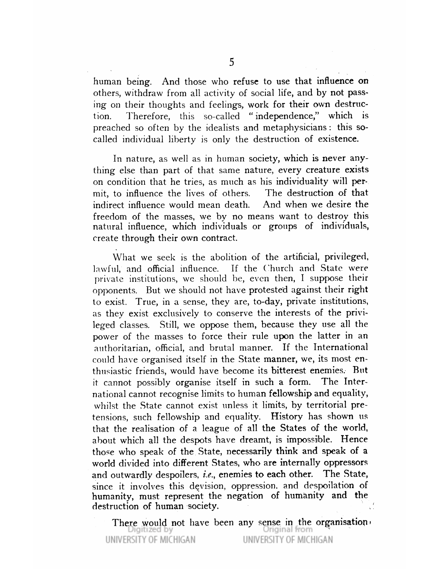human being. And those who refuse to use that influence on others, withdraw from all activity of social life, and by not passing on their thoughts and feelings, work for their own destruc-Therefore, this so-called "independence," which is tion. preached so often by the idealists and metaphysicians: this socalled individual liberty is only the destruction of existence.

In nature, as well as in human society, which is never anything else than part of that same nature, every creature exists on condition that he tries, as much as his individuality will permit, to influence the lives of others. The destruction of that indirect influence would mean death. And when we desire the freedom of the masses, we by no means want to destroy this natural influence, which individuals or groups of individuals, create through their own contract.

What we seek is the abolition of the artificial, privileged, lawful, and official influence. If the Church and State were private institutions, we should be, even then, I suppose their opponents. But we should not have protested against their right to exist. True, in a sense, they are, to-day, private institutions, as they exist exclusively to conserve the interests of the privileged classes. Still, we oppose them, because they use all the power of the masses to force their rule upon the latter in an authoritarian, official, and brutal manner. If the International could have organised itself in the State manner, we, its most enthusiastic friends, would have become its bitterest enemies. But it cannot possibly organise itself in such a form. The International cannot recognise limits to human fellowship and equality, whilst the State cannot exist unless it limits, by territorial pretensions, such fellowship and equality. History has shown us that the realisation of a league of all the States of the world, about which all the despots have dreamt, is impossible. Hence those who speak of the State, necessarily think and speak of a world divided into different States, who are internally oppressors and outwardly despoilers, i.e., enemies to each other. The State, since it involves this devision, oppression, and despoilation of humanity, must represent the negation of humanity and the destruction of human society.

There would not have been any sense in the organisation. Original from Digitized by UNIVERSITY OF MICHIGAN UNIVERSITY OF MICHIGAN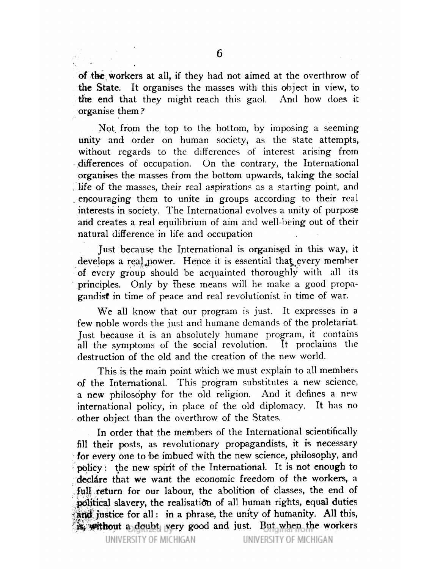of the workers at all, if they had not aimed at the overthrow of the State. It organises the masses with this object in view, to the end that they might reach this gaol. And how does it organise them?

Not from the top to the bottom, by imposing a seeming unity and order on human society, as the state attempts, without regards to the differences of interest arising from differences of occupation. On the contrary, the International organises the masses from the bottom upwards, taking the social This is the masses, their real aspirations as a starting point, and encouraging them to unite in groups according to their real interests in society. The International evolves a unity of purpose and creates a real equilibrium of aim and well-being out of their natural difference in life and occupation

Just because the International is organised in this way, it develops a real power. Hence it is essential that every member of every group should be acquainted thoroughly with all its principles. Only by these means will be make a good propagandist in time of peace and real revolutionist in time of war.

We all know that our program is just. It expresses in a few noble words the just and humane demands of the proletariat. Just because it is an absolutely humane program, it contains all the symptoms of the social revolution. It proclaims the destruction of the old and the creation of the new world.

This is the main point which we must explain to all members of the International. This program substitutes a new science, a new philosophy for the old religion. And it defines a new international policy, in place of the old diplomacy. It has no other object than the overthrow of the States.

In order that the members of the International scientifically fill their posts, as revolutionary propagandists, it is necessary for every one to be imbued with the new science, philosophy, and policy: the new spirit of the International. It is not enough to declare that we want the economic freedom of the workers, a full return for our labour, the abolition of classes, the end of political slavery, the realisation of all human rights, equal duties and justice for all: in a phrase, the unity of humanity. All this, is without a doubt, very good and just. But when the workers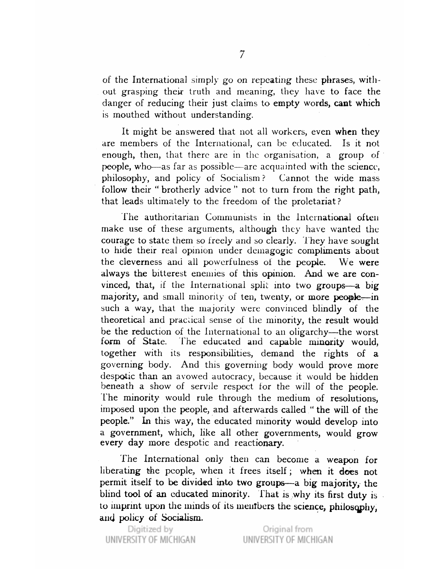of the International simply go on repeating these phrases, without grasping their truth and meaning, they have to face the danger of reducing their just claims to empty words, cant which is mouthed without understanding.

It might be answered that not all workers, even when they are members of the International, can be educated. Is it not enough, then, that there are in the organisation, a group of people, who—as far as possible—are acquainted with the science, philosophy, and policy of Socialism? Cannot the wide mass follow their "brotherly advice" not to turn from the right path, that leads ultimately to the freedom of the proletariat?

The authoritarian Communists in the International often make use of these arguments, although they have wanted the courage to state them so freely and so clearly. They have sought to hide their real opinion under demagogic compliments about the cleverness and all powerfulness of the people. We were always the bitterest enemies of this opinion. And we are convinced, that, if the International split into two groups-a big majority, and small minority of ten, twenty, or more people—in such a way, that the majority were convinced blindly of the theoretical and practical sense of the minority, the result would be the reduction of the International to an oligarchy—the worst form of State. The educated and capable minority would, together with its responsibilities, demand the rights of a governing body. And this governing body would prove more despotic than an avowed autocracy, because it would be hidden beneath a show of servile respect for the will of the people. The minority would rule through the medium of resolutions, imposed upon the people, and afterwards called "the will of the people." In this way, the educated minority would develop into a government, which, like all other governments, would grow every day more despotic and reactionary.

The International only then can become a weapon for liberating the people, when it frees itself; when it does not permit itself to be divided into two groups-a big majority, the blind tool of an educated minority. That is why its first duty is to imprint upon the minds of its mentbers the science, philosophy, and policy of Socialism.

Digitized by UNIVERSITY OF MICHIGAN

Original from UNIVERSITY OF MICHIGAN